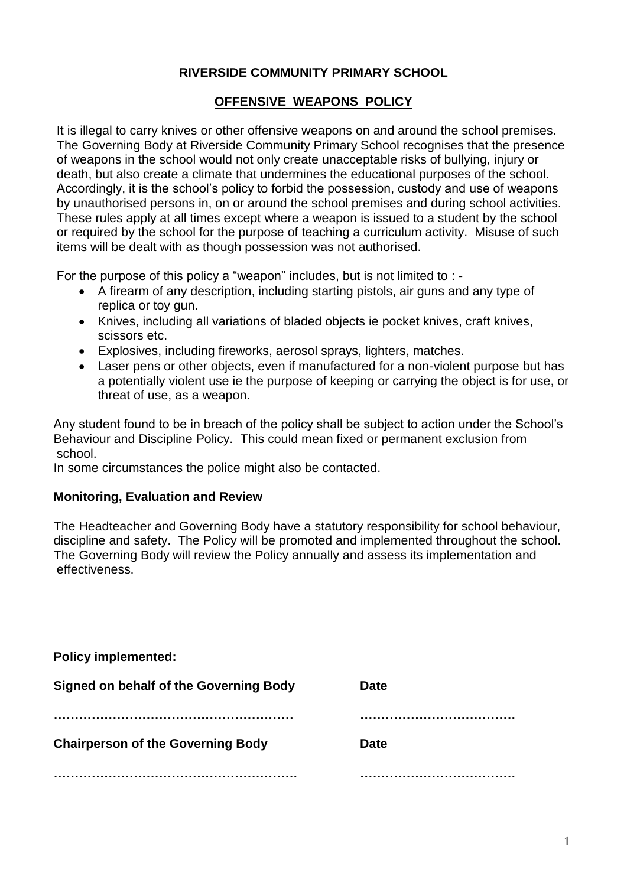# **RIVERSIDE COMMUNITY PRIMARY SCHOOL**

# **OFFENSIVE WEAPONS POLICY**

It is illegal to carry knives or other offensive weapons on and around the school premises. The Governing Body at Riverside Community Primary School recognises that the presence of weapons in the school would not only create unacceptable risks of bullying, injury or death, but also create a climate that undermines the educational purposes of the school. Accordingly, it is the school"s policy to forbid the possession, custody and use of weapons by unauthorised persons in, on or around the school premises and during school activities. These rules apply at all times except where a weapon is issued to a student by the school or required by the school for the purpose of teaching a curriculum activity. Misuse of such items will be dealt with as though possession was not authorised.

For the purpose of this policy a "weapon" includes, but is not limited to : -

- A firearm of any description, including starting pistols, air guns and any type of replica or toy gun.
- Knives, including all variations of bladed objects ie pocket knives, craft knives, scissors etc.
- Explosives, including fireworks, aerosol sprays, lighters, matches.
- Laser pens or other objects, even if manufactured for a non-violent purpose but has a potentially violent use ie the purpose of keeping or carrying the object is for use, or threat of use, as a weapon.

Any student found to be in breach of the policy shall be subject to action under the School"s Behaviour and Discipline Policy. This could mean fixed or permanent exclusion from school.

In some circumstances the police might also be contacted.

#### **Monitoring, Evaluation and Review**

The Headteacher and Governing Body have a statutory responsibility for school behaviour, discipline and safety. The Policy will be promoted and implemented throughout the school. The Governing Body will review the Policy annually and assess its implementation and effectiveness.

| <b>Policy implemented:</b>                    |             |
|-----------------------------------------------|-------------|
| <b>Signed on behalf of the Governing Body</b> | <b>Date</b> |
|                                               |             |
| <b>Chairperson of the Governing Body</b>      | <b>Date</b> |
|                                               |             |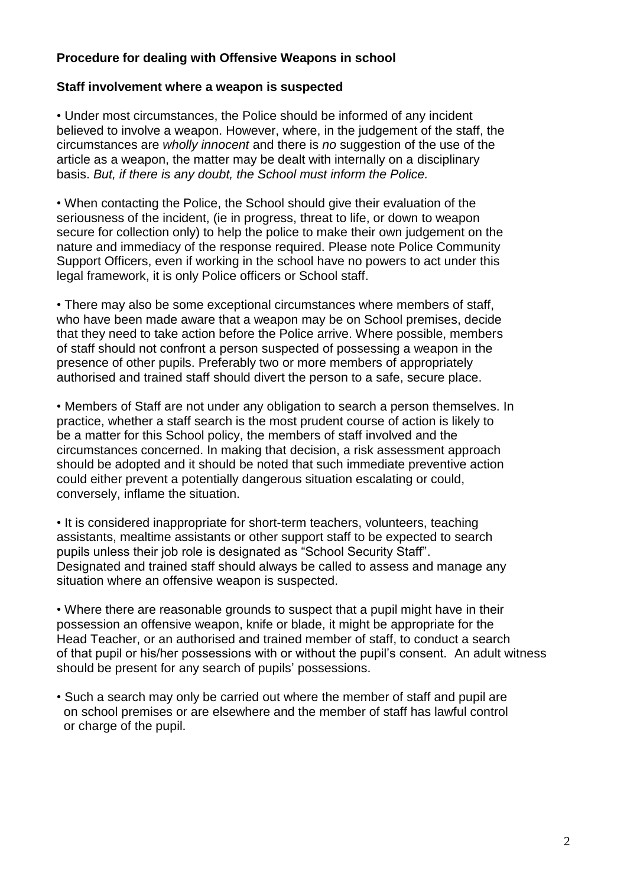# **Procedure for dealing with Offensive Weapons in school**

#### **Staff involvement where a weapon is suspected**

• Under most circumstances, the Police should be informed of any incident believed to involve a weapon. However, where, in the judgement of the staff, the circumstances are *wholly innocent* and there is *no* suggestion of the use of the article as a weapon, the matter may be dealt with internally on a disciplinary basis. *But, if there is any doubt, the School must inform the Police.*

• When contacting the Police, the School should give their evaluation of the seriousness of the incident, (ie in progress, threat to life, or down to weapon secure for collection only) to help the police to make their own judgement on the nature and immediacy of the response required. Please note Police Community Support Officers, even if working in the school have no powers to act under this legal framework, it is only Police officers or School staff.

• There may also be some exceptional circumstances where members of staff, who have been made aware that a weapon may be on School premises, decide that they need to take action before the Police arrive. Where possible, members of staff should not confront a person suspected of possessing a weapon in the presence of other pupils. Preferably two or more members of appropriately authorised and trained staff should divert the person to a safe, secure place.

• Members of Staff are not under any obligation to search a person themselves. In practice, whether a staff search is the most prudent course of action is likely to be a matter for this School policy, the members of staff involved and the circumstances concerned. In making that decision, a risk assessment approach should be adopted and it should be noted that such immediate preventive action could either prevent a potentially dangerous situation escalating or could, conversely, inflame the situation.

• It is considered inappropriate for short-term teachers, volunteers, teaching assistants, mealtime assistants or other support staff to be expected to search pupils unless their job role is designated as "School Security Staff". Designated and trained staff should always be called to assess and manage any situation where an offensive weapon is suspected.

• Where there are reasonable grounds to suspect that a pupil might have in their possession an offensive weapon, knife or blade, it might be appropriate for the Head Teacher, or an authorised and trained member of staff, to conduct a search of that pupil or his/her possessions with or without the pupil"s consent. An adult witness should be present for any search of pupils' possessions.

• Such a search may only be carried out where the member of staff and pupil are on school premises or are elsewhere and the member of staff has lawful control or charge of the pupil.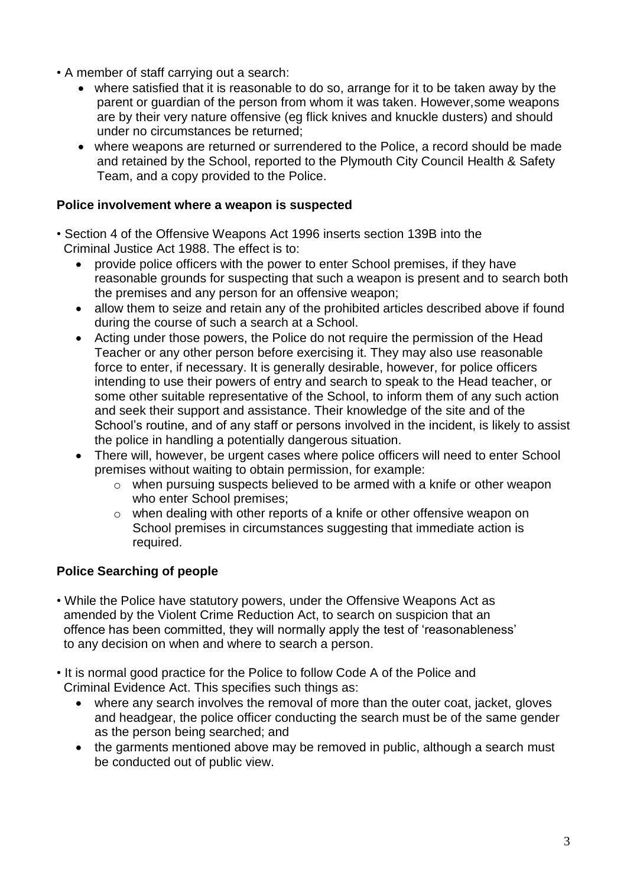- A member of staff carrying out a search:
	- where satisfied that it is reasonable to do so, arrange for it to be taken away by the parent or guardian of the person from whom it was taken. However,some weapons are by their very nature offensive (eg flick knives and knuckle dusters) and should under no circumstances be returned;
	- where weapons are returned or surrendered to the Police, a record should be made and retained by the School, reported to the Plymouth City Council Health & Safety Team, and a copy provided to the Police.

#### **Police involvement where a weapon is suspected**

- Section 4 of the Offensive Weapons Act 1996 inserts section 139B into the Criminal Justice Act 1988. The effect is to:
	- provide police officers with the power to enter School premises, if they have reasonable grounds for suspecting that such a weapon is present and to search both the premises and any person for an offensive weapon;
	- allow them to seize and retain any of the prohibited articles described above if found during the course of such a search at a School.
	- Acting under those powers, the Police do not require the permission of the Head Teacher or any other person before exercising it. They may also use reasonable force to enter, if necessary. It is generally desirable, however, for police officers intending to use their powers of entry and search to speak to the Head teacher, or some other suitable representative of the School, to inform them of any such action and seek their support and assistance. Their knowledge of the site and of the School"s routine, and of any staff or persons involved in the incident, is likely to assist the police in handling a potentially dangerous situation.
	- There will, however, be urgent cases where police officers will need to enter School premises without waiting to obtain permission, for example:
		- o when pursuing suspects believed to be armed with a knife or other weapon who enter School premises;
		- o when dealing with other reports of a knife or other offensive weapon on School premises in circumstances suggesting that immediate action is required.

## **Police Searching of people**

- While the Police have statutory powers, under the Offensive Weapons Act as amended by the Violent Crime Reduction Act, to search on suspicion that an offence has been committed, they will normally apply the test of "reasonableness" to any decision on when and where to search a person.
- It is normal good practice for the Police to follow Code A of the Police and Criminal Evidence Act. This specifies such things as:
	- where any search involves the removal of more than the outer coat, jacket, gloves and headgear, the police officer conducting the search must be of the same gender as the person being searched; and
	- the garments mentioned above may be removed in public, although a search must be conducted out of public view.